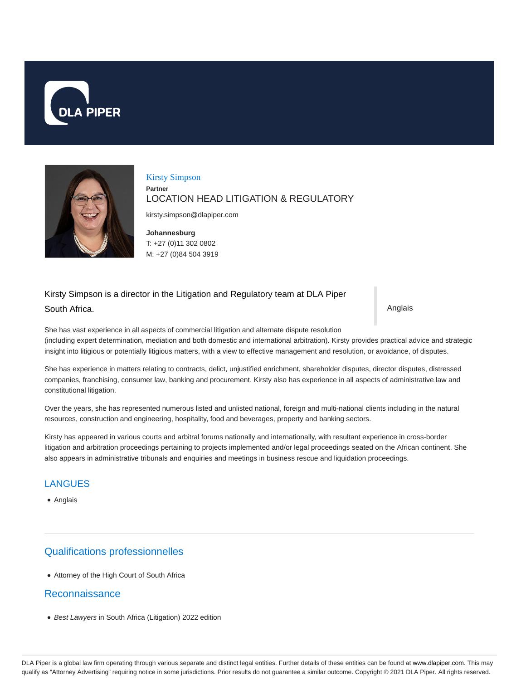



## Kirsty Simpson **Partner** LOCATION HEAD LITIGATION & REGULATORY

kirsty.simpson@dlapiper.com

**Johannesburg** T: +27 (0)11 302 0802 M: +27 (0)84 504 3919

# Kirsty Simpson is a director in the Litigation and Regulatory team at DLA Piper South Africa.

Anglais

She has vast experience in all aspects of commercial litigation and alternate dispute resolution (including expert determination, mediation and both domestic and international arbitration). Kirsty provides practical advice and strategic insight into litigious or potentially litigious matters, with a view to effective management and resolution, or avoidance, of disputes.

She has experience in matters relating to contracts, delict, unjustified enrichment, shareholder disputes, director disputes, distressed companies, franchising, consumer law, banking and procurement. Kirsty also has experience in all aspects of administrative law and constitutional litigation.

Over the years, she has represented numerous listed and unlisted national, foreign and multi-national clients including in the natural resources, construction and engineering, hospitality, food and beverages, property and banking sectors.

Kirsty has appeared in various courts and arbitral forums nationally and internationally, with resultant experience in cross-border litigation and arbitration proceedings pertaining to projects implemented and/or legal proceedings seated on the African continent. She also appears in administrative tribunals and enquiries and meetings in business rescue and liquidation proceedings.

## **LANGUES**

Anglais

# Qualifications professionnelles

Attorney of the High Court of South Africa

#### Reconnaissance

Best Lawyers in South Africa (Litigation) 2022 edition

DLA Piper is a global law firm operating through various separate and distinct legal entities. Further details of these entities can be found at www.dlapiper.com. This may qualify as "Attorney Advertising" requiring notice in some jurisdictions. Prior results do not guarantee a similar outcome. Copyright @ 2021 DLA Piper. All rights reserved.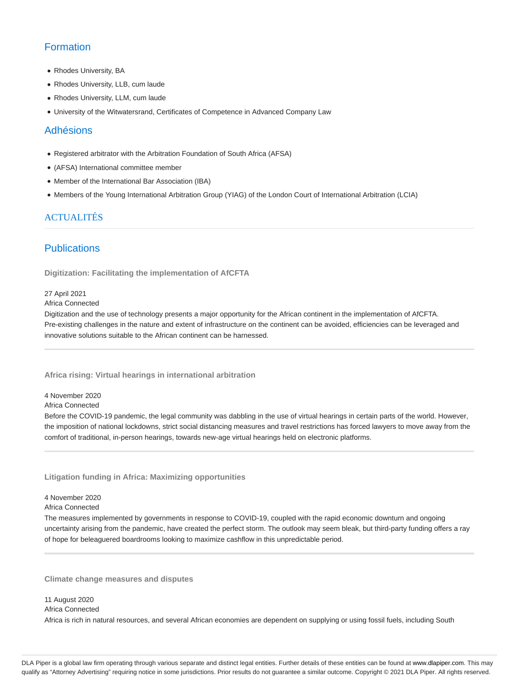# **Formation**

- Rhodes University, BA
- Rhodes University, LLB, cum laude
- Rhodes University, LLM, cum laude
- University of the Witwatersrand, Certificates of Competence in Advanced Company Law

#### Adhésions

- Registered arbitrator with the Arbitration Foundation of South Africa (AFSA)
- (AFSA) International committee member
- Member of the International Bar Association (IBA)
- Members of the Young International Arbitration Group (YIAG) of the London Court of International Arbitration (LCIA)

### ACTUALITÉS

### **Publications**

**Digitization: Facilitating the implementation of AfCFTA**

#### 27 April 2021

Africa Connected

Digitization and the use of technology presents a major opportunity for the African continent in the implementation of AfCFTA. Pre-existing challenges in the nature and extent of infrastructure on the continent can be avoided, efficiencies can be leveraged and innovative solutions suitable to the African continent can be harnessed.

#### **Africa rising: Virtual hearings in international arbitration**

4 November 2020

Africa Connected

Before the COVID-19 pandemic, the legal community was dabbling in the use of virtual hearings in certain parts of the world. However, the imposition of national lockdowns, strict social distancing measures and travel restrictions has forced lawyers to move away from the comfort of traditional, in-person hearings, towards new-age virtual hearings held on electronic platforms.

#### **Litigation funding in Africa: Maximizing opportunities**

4 November 2020

Africa Connected

The measures implemented by governments in response to COVID-19, coupled with the rapid economic downturn and ongoing uncertainty arising from the pandemic, have created the perfect storm. The outlook may seem bleak, but third-party funding offers a ray of hope for beleaguered boardrooms looking to maximize cashflow in this unpredictable period.

**Climate change measures and disputes**

#### 11 August 2020

Africa Connected

Africa is rich in natural resources, and several African economies are dependent on supplying or using fossil fuels, including South

DLA Piper is a global law firm operating through various separate and distinct legal entities. Further details of these entities can be found at www.dlapiper.com. This may qualify as "Attorney Advertising" requiring notice in some jurisdictions. Prior results do not guarantee a similar outcome. Copyright © 2021 DLA Piper. All rights reserved.